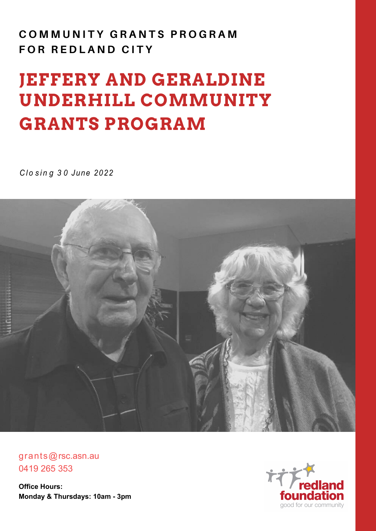# **C O M M U N I T Y G R A N T S P R O G R A M FOR REDLAND CITY**

# **JEFFERY AND GERALDINE UNDERHILL COMMUNITY GRANTS PROGRAM**

*C l o s i n g 3 0 June 2022*



grants@rsc.asn.au 0419 265 353

**Office Hours: Monday & Thursdays: 10am - 3pm**

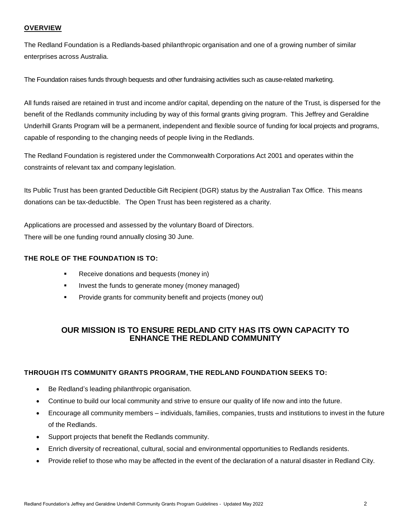#### **OVERVIEW**

The Redland Foundation is a Redlands-based philanthropic organisation and one of a growing number of similar enterprises across Australia.

The Foundation raises funds through bequests and other fundraising activities such as cause-related marketing.

All funds raised are retained in trust and income and/or capital, depending on the nature of the Trust, is dispersed for the benefit of the Redlands community including by way of this formal grants giving program. This Jeffrey and Geraldine Underhill Grants Program will be a permanent, independent and flexible source of funding for local projects and programs, capable of responding to the changing needs of people living in the Redlands.

The Redland Foundation is registered under the Commonwealth Corporations Act 2001 and operates within the constraints of relevant tax and company legislation.

Its Public Trust has been granted Deductible Gift Recipient (DGR) status by the Australian Tax Office. This means donations can be tax-deductible. The Open Trust has been registered as a charity.

Applications are processed and assessed by the voluntary Board of Directors. There will be one funding round annually closing 30 June.

#### **THE ROLE OF THE FOUNDATION IS TO:**

- Receive donations and bequests (money in)
- **If the funds to generate money (money managed)**
- Provide grants for community benefit and projects (money out)

# **OUR MISSION IS TO ENSURE REDLAND CITY HAS ITS OWN CAPACITY TO ENHANCE THE REDLAND COMMUNITY**

#### **THROUGH ITS COMMUNITY GRANTS PROGRAM, THE REDLAND FOUNDATION SEEKS TO:**

- Be Redland's leading philanthropic organisation.
- Continue to build our local community and strive to ensure our quality of life now and into the future.
- Encourage all community members individuals, families, companies, trusts and institutions to invest in the future of the Redlands.
- Support projects that benefit the Redlands community.
- Enrich diversity of recreational, cultural, social and environmental opportunities to Redlands residents.
- Provide relief to those who may be affected in the event of the declaration of a natural disaster in Redland City.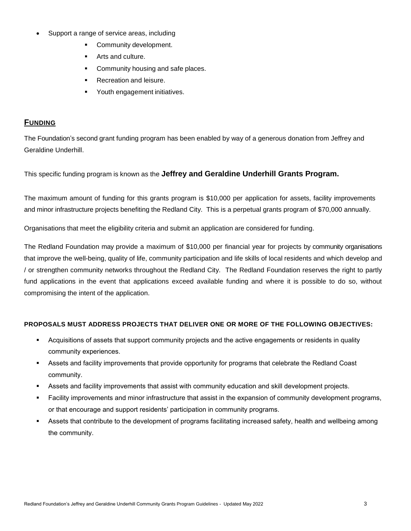- Support a range of service areas, including
	- **•** Community development.
	- **Arts and culture.**
	- Community housing and safe places.
	- **Recreation and leisure.**
	- Youth engagement initiatives.

# **FUNDING**

The Foundation's second grant funding program has been enabled by way of a generous donation from Jeffrey and Geraldine Underhill.

This specific funding program is known as the **Jeffrey and Geraldine Underhill Grants Program.**

The maximum amount of funding for this grants program is \$10,000 per application for assets, facility improvements and minor infrastructure projects benefiting the Redland City. This is a perpetual grants program of \$70,000 annually.

Organisations that meet the eligibility criteria and submit an application are considered for funding.

The Redland Foundation may provide a maximum of \$10,000 per financial year for projects by community organisations that improve the well-being, quality of life, community participation and life skills of local residents and which develop and / or strengthen community networks throughout the Redland City. The Redland Foundation reserves the right to partly fund applications in the event that applications exceed available funding and where it is possible to do so, without compromising the intent of the application.

#### **PROPOSALS MUST ADDRESS PROJECTS THAT DELIVER ONE OR MORE OF THE FOLLOWING OBJECTIVES:**

- Acquisitions of assets that support community projects and the active engagements or residents in quality community experiences.
- Assets and facility improvements that provide opportunity for programs that celebrate the Redland Coast community.
- Assets and facility improvements that assist with community education and skill development projects.
- Facility improvements and minor infrastructure that assist in the expansion of community development programs, or that encourage and support residents' participation in community programs.
- Assets that contribute to the development of programs facilitating increased safety, health and wellbeing among the community.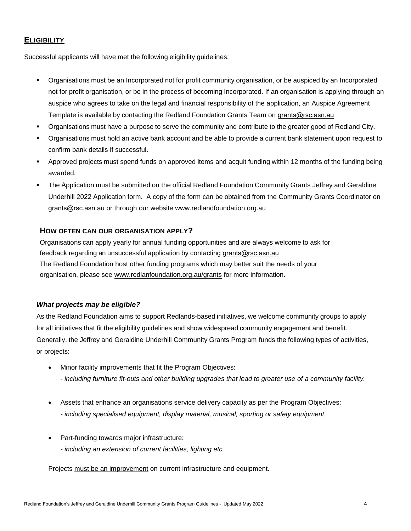# **ELIGIBILITY**

Successful applicants will have met the following eligibility guidelines:

- Organisations must be an Incorporated not for profit community organisation, or be auspiced by an Incorporated not for profit organisation, or be in the process of becoming Incorporated. If an organisation is applying through an auspice who agrees to take on the legal and financial responsibility of the application, an Auspice Agreement Template is available by contacting the Redland Foundation Grants Team on [grants@rsc.asn.au](mailto:grants@redlandfoundation.org.au)
- Organisations must have a purpose to serve the community and contribute to the greater good of Redland City.
- Organisations must hold an active bank account and be able to provide a current bank statement upon request to confirm bank details if successful.
- Approved projects must spend funds on approved items and acquit funding within 12 months of the funding being awarded.
- The Application must be submitted on the official Redland Foundation Community Grants Jeffrey and Geraldine Underhill 2022 Application form. A copy of the form can be obtained from the Community Grants Coordinator on [grants@rsc.asn.au](mailto:grants@redlandfoundation.org.au) or through our website www.redlandf[oundation.org.au](http://www.redlandfoundation.org.au/)

#### **HOW OFTEN CAN OUR ORGANISATION APPLY?**

Organisations can apply yearly for annual funding opportunities and are always welcome to ask for feedback regarding an unsuccessful application by contacting gra[nts@rsc.asn.au](mailto:grants@redlandfoundation.org.au) The Redland Foundation host other funding programs which may better suit the needs of your organisation, please see ww[w.redlanfoundation.org.au/grants](http://www.redlanfoundation.org.au/grants) for more information.

#### *What projects may be eligible?*

As the Redland Foundation aims to support Redlands-based initiatives, we welcome community groups to apply for all initiatives that fit the eligibility guidelines and show widespread community engagement and benefit. Generally, the Jeffrey and Geraldine Underhill Community Grants Program funds the following types of activities, or projects:

- Minor facility improvements that fit the Program Objectives: *- including furniture fit-outs and other building upgrades that lead to greater use of a community facility.*
- Assets that enhance an organisations service delivery capacity as per the Program Objectives: *- including specialised equipment, display material, musical, sporting or safety equipment.*
- Part-funding towards major infrastructure: *- including an extension of current facilities, lighting etc.*

Projects must be an improvement on current infrastructure and equipment.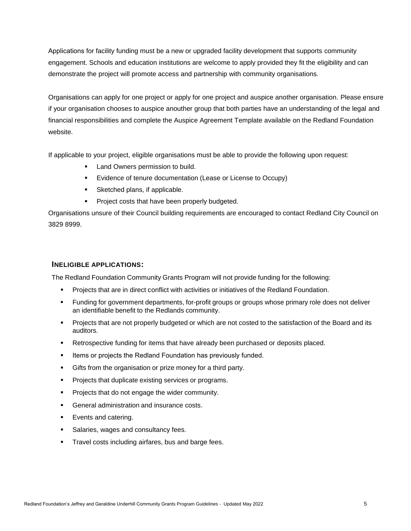Applications for facility funding must be a new or upgraded facility development that supports community engagement. Schools and education institutions are welcome to apply provided they fit the eligibility and can demonstrate the project will promote access and partnership with community organisations.

Organisations can apply for one project or apply for one project and auspice another organisation. Please ensure if your organisation chooses to auspice anouther group that both parties have an understanding of the legal and financial responsibilities and complete the Auspice Agreement Template available on the Redland Foundation website.

If applicable to your project, eligible organisations must be able to provide the following upon request:

- **Land Owners permission to build.**
- **Evidence of tenure documentation (Lease or License to Occupy)**
- Sketched plans, if applicable.
- **Project costs that have been properly budgeted.**

Organisations unsure of their Council building requirements are encouraged to contact Redland City Council on 3829 8999.

#### **INELIGIBLE APPLICATIONS:**

The Redland Foundation Community Grants Program will not provide funding for the following:

- **Projects that are in direct conflict with activities or initiatives of the Redland Foundation.**
- Funding for government departments, for-profit groups or groups whose primary role does not deliver an identifiable benefit to the Redlands community.
- **Projects that are not properly budgeted or which are not costed to the satisfaction of the Board and its** auditors.
- **Retrospective funding for items that have already been purchased or deposits placed.**
- **Items or projects the Redland Foundation has previously funded.**
- Gifts from the organisation or prize money for a third party.
- **Projects that duplicate existing services or programs.**
- **Projects that do not engage the wider community.**
- **General administration and insurance costs.**
- **Exents and catering.**
- **Salaries, wages and consultancy fees.**
- **Travel costs including airfares, bus and barge fees.**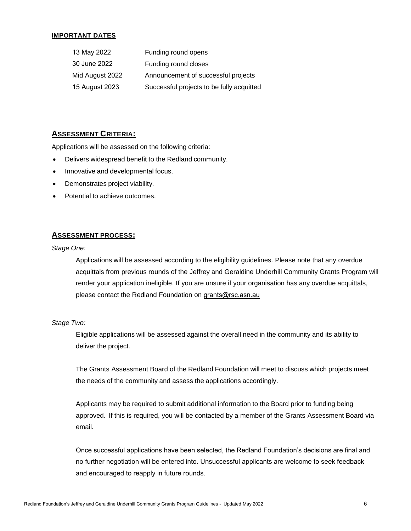#### **IMPORTANT DATES**

| 13 May 2022     | Funding round opens                       |
|-----------------|-------------------------------------------|
| 30 June 2022    | Funding round closes                      |
| Mid August 2022 | Announcement of successful projects       |
| 15 August 2023  | Successful projects to be fully acquitted |

# **ASSESSMENT CRITERIA:**

Applications will be assessed on the following criteria:

- Delivers widespread benefit to the Redland community.
- Innovative and developmental focus.
- Demonstrates project viability.
- Potential to achieve outcomes.

#### **ASSESSMENT PROCESS:**

*Stage One:*

Applications will be assessed according to the eligibility guidelines. Please note that any overdue acquittals from previous rounds of the Jeffrey and Geraldine Underhill Community Grants Program will render your application ineligible. If you are unsure if your organisation has any overdue acquittals, please contact the Redland Foundation on [grants@rsc.asn.au](mailto:grants@redlandfoundation.org.au) 

#### *Stage Two:*

Eligible applications will be assessed against the overall need in the community and its ability to deliver the project.

The Grants Assessment Board of the Redland Foundation will meet to discuss which projects meet the needs of the community and assess the applications accordingly.

Applicants may be required to submit additional information to the Board prior to funding being approved. If this is required, you will be contacted by a member of the Grants Assessment Board via email.

Once successful applications have been selected, the Redland Foundation's decisions are final and no further negotiation will be entered into. Unsuccessful applicants are welcome to seek feedback and encouraged to reapply in future rounds.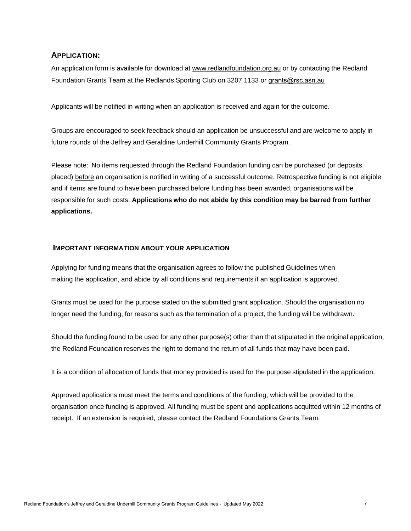### **APPLICATION:**

An application form is available for download at [www.redlandfoundation.org.au](http://www.redlandfoundation.org.au/) or by contacting the Redland Foundation Grants Team at the Redlands Sporting Club on 3207 1133 or grants@rsc.asn.au

Applicants will be notified in writing when an application is received and again for the outcome.

[Groups are encouraged to](mailto:grants@redlandfoundation.org.au) seek feedback should an application be unsuccessful and are welcome to apply in [future rounds of the Jeffrey and Ge](mailto:grants@redlandfoundation.org.au)raldine Underhill Community Grants Program.

Please note: No items requested through the Redland Foundation funding can be purchased (or deposits placed) before an organisation is notified in writing of a successful outcome. Retrospective funding is not eligible and if items are found to have been purchased before funding has been awarded, organisations will be responsible for such costs. **Applications who do not abide by this condition may be barred from further applications.** 

#### **IMPORTANT INFORMATION ABOUT YOUR APPLICATION**

Applying for funding means that the organisation agrees to follow the published Guidelines when making the application, and abide by all conditions and requirements if an application is approved.

Grants must be used for the purpose stated on the submitted grant application. Should the organisation no longer need the funding, for reasons such as the termination of a project, the funding will be withdrawn.

Should the funding found to be used for any other purpose(s) other than that stipulated in the original application, the Redland Foundation reserves the right to demand the return of all funds that may have been paid.

It is a condition of allocation of funds that money provided is used for the purpose stipulated in the application.

Approved applications must meet the terms and conditions of the funding, which will be provided to the organisation once funding is approved. All funding must be spent and applications acquitted within 12 months of receipt. If an extension is required, please contact the Redland Foundations Grants Team.